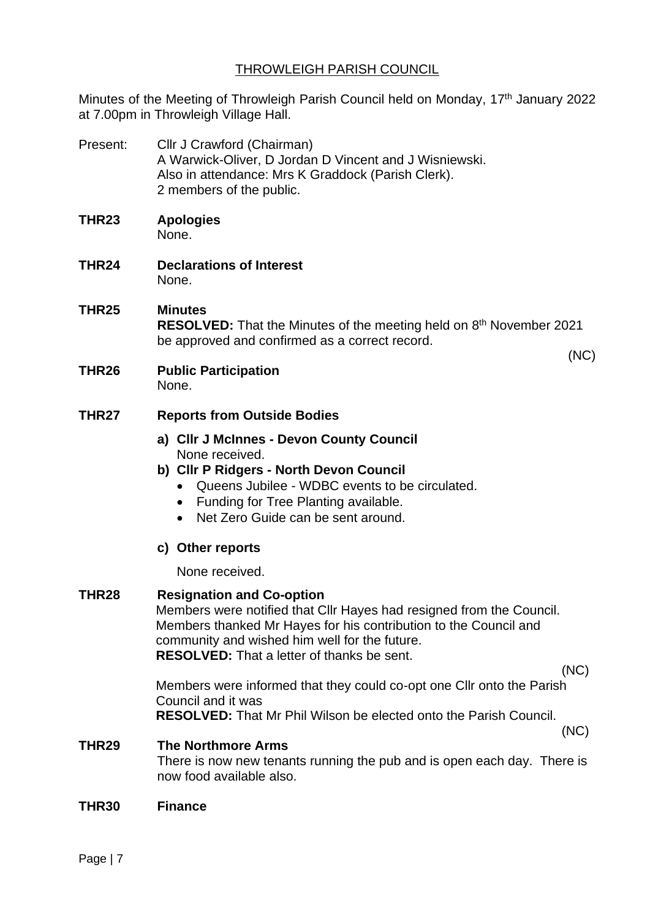# THROWLEIGH PARISH COUNCIL

Minutes of the Meeting of Throwleigh Parish Council held on Monday, 17<sup>th</sup> January 2022 at 7.00pm in Throwleigh Village Hall.

Present: Cllr J Crawford (Chairman) A Warwick-Oliver, D Jordan D Vincent and J Wisniewski. Also in attendance: Mrs K Graddock (Parish Clerk). 2 members of the public. **THR23 Apologies** None. **THR24 Declarations of Interest** None.

### **THR25 Minutes**

RESOLVED: That the Minutes of the meeting held on 8<sup>th</sup> November 2021 be approved and confirmed as a correct record.

(NC)

**THR26 Public Participation** None.

#### **THR27 Reports from Outside Bodies**

- **a) Cllr J McInnes - Devon County Council** None received.
- **b) Cllr P Ridgers - North Devon Council**
	- Queens Jubilee WDBC events to be circulated.
	- Funding for Tree Planting available.
	- Net Zero Guide can be sent around.
- **c) Other reports**

None received.

# **THR28 Resignation and Co-option** Members were notified that Cllr Hayes had resigned from the Council. Members thanked Mr Hayes for his contribution to the Council and community and wished him well for the future. **RESOLVED:** That a letter of thanks be sent. (NC) Members were informed that they could co-opt one Cllr onto the Parish Council and it was **RESOLVED:** That Mr Phil Wilson be elected onto the Parish Council. (NC) **THR29 The Northmore Arms**  There is now new tenants running the pub and is open each day. There is now food available also.

**THR30 Finance**